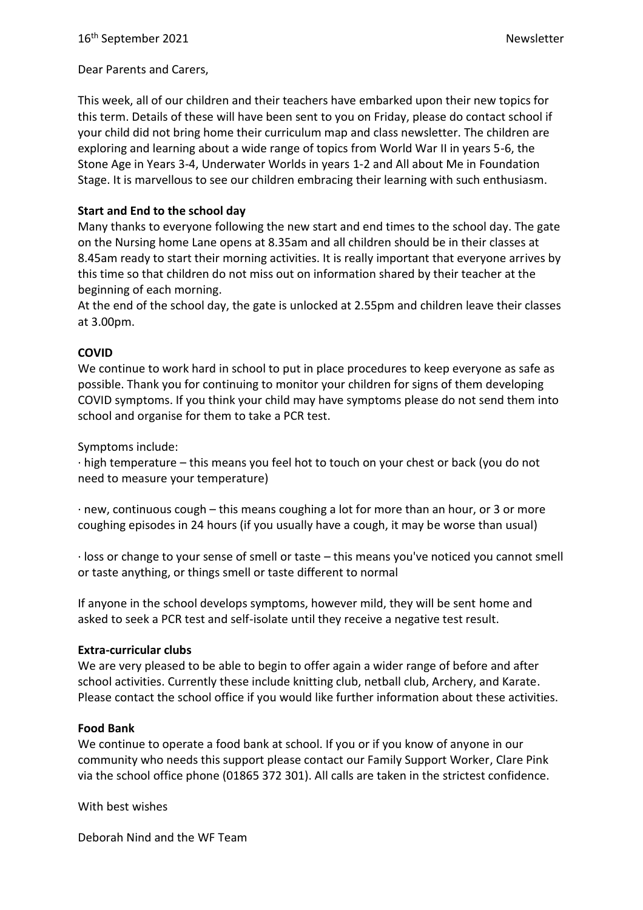Dear Parents and Carers,

This week, all of our children and their teachers have embarked upon their new topics for this term. Details of these will have been sent to you on Friday, please do contact school if your child did not bring home their curriculum map and class newsletter. The children are exploring and learning about a wide range of topics from World War II in years 5-6, the Stone Age in Years 3-4, Underwater Worlds in years 1-2 and All about Me in Foundation Stage. It is marvellous to see our children embracing their learning with such enthusiasm.

## **Start and End to the school day**

Many thanks to everyone following the new start and end times to the school day. The gate on the Nursing home Lane opens at 8.35am and all children should be in their classes at 8.45am ready to start their morning activities. It is really important that everyone arrives by this time so that children do not miss out on information shared by their teacher at the beginning of each morning.

At the end of the school day, the gate is unlocked at 2.55pm and children leave their classes at 3.00pm.

## **COVID**

We continue to work hard in school to put in place procedures to keep everyone as safe as possible. Thank you for continuing to monitor your children for signs of them developing COVID symptoms. If you think your child may have symptoms please do not send them into school and organise for them to take a PCR test.

Symptoms include:

· high temperature – this means you feel hot to touch on your chest or back (you do not need to measure your temperature)

· new, continuous cough – this means coughing a lot for more than an hour, or 3 or more coughing episodes in 24 hours (if you usually have a cough, it may be worse than usual)

· loss or change to your sense of smell or taste – this means you've noticed you cannot smell or taste anything, or things smell or taste different to normal

If anyone in the school develops symptoms, however mild, they will be sent home and asked to seek a PCR test and self-isolate until they receive a negative test result.

### **Extra-curricular clubs**

We are very pleased to be able to begin to offer again a wider range of before and after school activities. Currently these include knitting club, netball club, Archery, and Karate. Please contact the school office if you would like further information about these activities.

### **Food Bank**

We continue to operate a food bank at school. If you or if you know of anyone in our community who needs this support please contact our Family Support Worker, Clare Pink via the school office phone (01865 372 301). All calls are taken in the strictest confidence.

With best wishes

Deborah Nind and the WF Team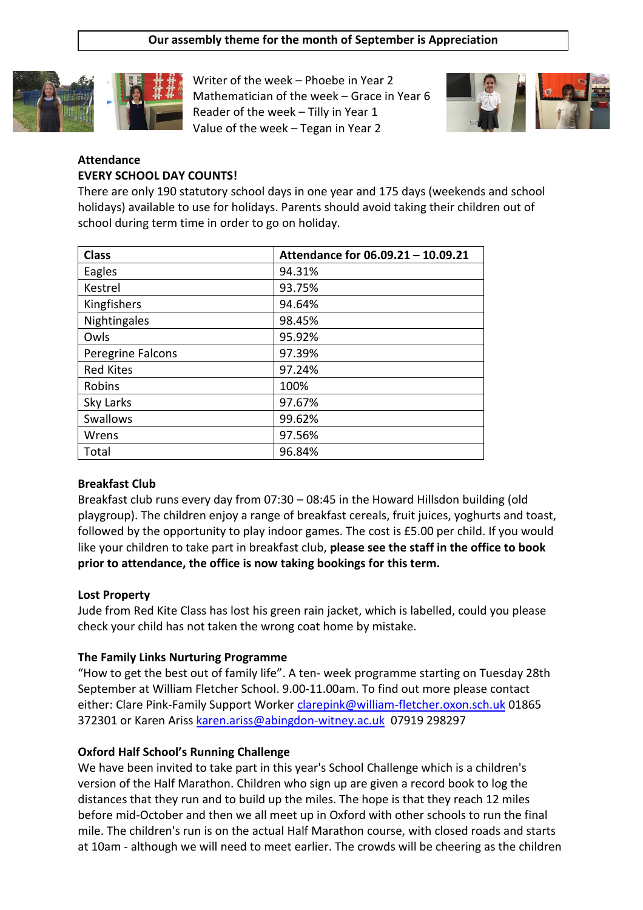### **Our assembly theme for the month of September is Appreciation**



Writer of the week – Phoebe in Year 2 Mathematician of the week – Grace in Year 6 Reader of the week – Tilly in Year 1 Value of the week – Tegan in Year 2



## **Attendance EVERY SCHOOL DAY COUNTS!**

There are only 190 statutory school days in one year and 175 days (weekends and school holidays) available to use for holidays. Parents should avoid taking their children out of school during term time in order to go on holiday.

| <b>Class</b>      | Attendance for 06.09.21 - 10.09.21 |
|-------------------|------------------------------------|
| Eagles            | 94.31%                             |
| Kestrel           | 93.75%                             |
| Kingfishers       | 94.64%                             |
| Nightingales      | 98.45%                             |
| Owls              | 95.92%                             |
| Peregrine Falcons | 97.39%                             |
| <b>Red Kites</b>  | 97.24%                             |
| Robins            | 100%                               |
| Sky Larks         | 97.67%                             |
| Swallows          | 99.62%                             |
| Wrens             | 97.56%                             |
| Total             | 96.84%                             |

## **Breakfast Club**

Breakfast club runs every day from 07:30 – 08:45 in the Howard Hillsdon building (old playgroup). The children enjoy a range of breakfast cereals, fruit juices, yoghurts and toast, followed by the opportunity to play indoor games. The cost is £5.00 per child. If you would like your children to take part in breakfast club, **please see the staff in the office to book prior to attendance, the office is now taking bookings for this term.**

## **Lost Property**

Jude from Red Kite Class has lost his green rain jacket, which is labelled, could you please check your child has not taken the wrong coat home by mistake.

## **The Family Links Nurturing Programme**

"How to get the best out of family life". A ten- week programme starting on Tuesday 28th September at William Fletcher School. 9.00-11.00am. To find out more please contact either: Clare Pink-Family Support Worker [clarepink@william-fletcher.oxon.sch.uk](mailto:clarepink@william-fletcher.oxon.sch.uk) 01865 372301 or Karen Ariss [karen.ariss@abingdon-witney.ac.uk](mailto:karen.ariss@abingdon-witney.ac.uk) 07919 298297

## **Oxford Half School's Running Challenge**

We have been invited to take part in this year's School Challenge which is a children's version of the Half Marathon. Children who sign up are given a record book to log the distances that they run and to build up the miles. The hope is that they reach 12 miles before mid-October and then we all meet up in Oxford with other schools to run the final mile. The children's run is on the actual Half Marathon course, with closed roads and starts at 10am - although we will need to meet earlier. The crowds will be cheering as the children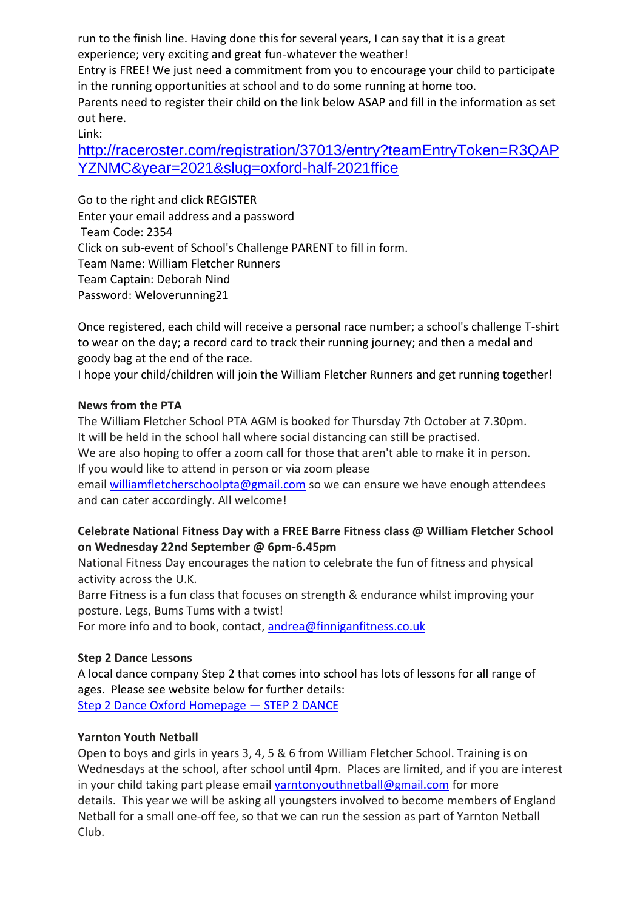run to the finish line. Having done this for several years, I can say that it is a great experience; very exciting and great fun-whatever the weather!

Entry is FREE! We just need a commitment from you to encourage your child to participate in the running opportunities at school and to do some running at home too.

Parents need to register their child on the link below ASAP and fill in the information as set out here.

Link:

[http://raceroster.com/registration/37013/entry?teamEntryToken=R3QAP](http://raceroster.com/registration/37013/entry?teamEntryToken=R3QAPYZNMC&year=2021&slug=oxford-half-2021ffice) [YZNMC&year=2021&slug=oxford-half-2021ffice](http://raceroster.com/registration/37013/entry?teamEntryToken=R3QAPYZNMC&year=2021&slug=oxford-half-2021ffice)

Go to the right and click REGISTER Enter your email address and a password Team Code: 2354 Click on sub-event of School's Challenge PARENT to fill in form. Team Name: William Fletcher Runners Team Captain: Deborah Nind Password: Weloverunning21

Once registered, each child will receive a personal race number; a school's challenge T-shirt to wear on the day; a record card to track their running journey; and then a medal and goody bag at the end of the race.

I hope your child/children will join the William Fletcher Runners and get running together!

## **News from the PTA**

The William Fletcher School PTA AGM is booked for Thursday 7th October at 7.30pm. It will be held in the school hall where social distancing can still be practised.

We are also hoping to offer a zoom call for those that aren't able to make it in person. If you would like to attend in person or via zoom please

email [williamfletcherschoolpta@gmail.com](mailto:williamfletcherschoolpta@gmail.com) so we can ensure we have enough attendees and can cater accordingly. All welcome!

## **Celebrate National Fitness Day with a FREE Barre Fitness class @ William Fletcher School on Wednesday 22nd September @ 6pm-6.45pm**

National Fitness Day encourages the nation to celebrate the fun of fitness and physical activity across the U.K.

Barre Fitness is a fun class that focuses on strength & endurance whilst improving your posture. Legs, Bums Tums with a twist!

For more info and to book, contact, [andrea@finniganfitness.co.uk](mailto:andrea@finniganfitness.co.uk)

## **Step 2 Dance Lessons**

A local dance company Step 2 that comes into school has lots of lessons for all range of ages. Please see website below for further details: [Step 2 Dance Oxford Homepage](https://www.step2dance.co.uk/home) — STEP 2 DANCE

## **Yarnton Youth Netball**

Open to boys and girls in years 3, 4, 5 & 6 from William Fletcher School. Training is on Wednesdays at the school, after school until 4pm. Places are limited, and if you are interest in your child taking part please email [yarntonyouthnetball@gmail.com](mailto:yarntonyouthnetball@gmail.com) for more details. This year we will be asking all youngsters involved to become members of England Netball for a small one-off fee, so that we can run the session as part of Yarnton Netball Club.